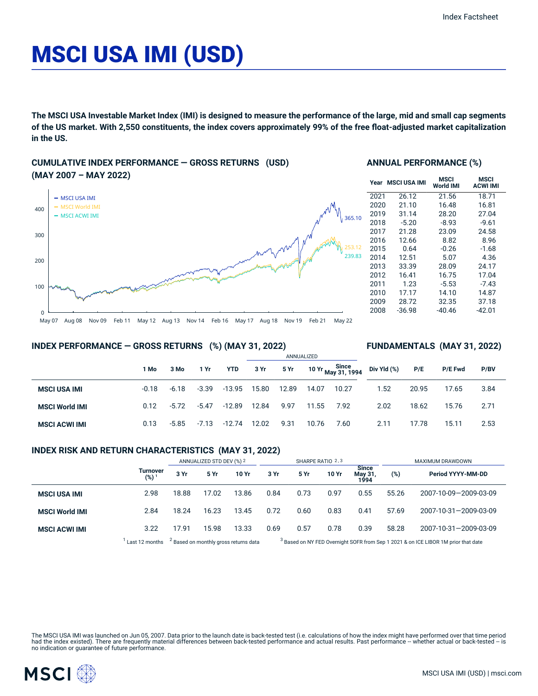# MSCI USA IMI (USD)

The MSCI USA Investable Market Index (IMI) is designed to measure the performance of the large, mid and small cap segments of the US market. With 2,550 constituents, the index covers approximately 99% of the free float-adjusted market capitalization **in the US.**

## **CUMULATIVE INDEX PERFORMANCE — GROSS RETURNS (USD) (MAY 2007 – MAY 2022)**



#### **ANNUAL PERFORMANCE (%)**

| Year | <b>MSCI USA IMI</b> | MSCI<br>World IMI | MSCI<br><b>ACWI IMI</b> |
|------|---------------------|-------------------|-------------------------|
| 2021 | 26.12               | 21.56             | 18.71                   |
| 2020 | 21.10               | 16.48             | 16.81                   |
| 2019 | 31.14               | 28.20             | 27.04                   |
| 2018 | $-5.20$             | $-8.93$           | $-9.61$                 |
| 2017 | 21.28               | 23.09             | 24.58                   |
| 2016 | 12.66               | 8.82              | 8.96                    |
| 2015 | 0.64                | $-0.26$           | $-1.68$                 |
| 2014 | 12.51               | 5.07              | 4.36                    |
| 2013 | 33.39               | 28.09             | 24.17                   |
| 2012 | 16.41               | 16.75             | 17.04                   |
| 2011 | 1.23                | $-5.53$           | $-7.43$                 |
| 2010 | 17.17               | 14.10             | 14.87                   |
| 2009 | 28.72               | 32.35             | 37.18                   |
| 2008 | -36.98              | $-40.46$          | -42.01                  |

**FUNDAMENTALS (MAY 31, 2022)**

#### **INDEX PERFORMANCE — GROSS RETURNS (%) (MAY 31, 2022)**

#### ANNUALIZED **1 Mo 3 Mo 1 Yr YTD 3 Yr 5 Yr 10 Yr Since May 31, 1994 MSCI USA IMI COLLACTE 10.18** -6.18 -3.39 -13.95 15.80 12.89 14.07 10.27 **MSCI World IMI** 0.12 -5.72 -5.47 -12.89 12.84 9.97 11.55 7.92 **MSCI ACWI IMI** 0.13 -5.85 -7.13 -12.74 12.02 9.31 10.76 7.60 **Div Yld (%) P/E P/E Fwd P/BV** 1.52 20.95 17.65 3.84 2.02 18.62 15.76 2.71 2.11 17.78 15.11 2.53

#### **INDEX RISK AND RETURN CHARACTERISTICS (MAY 31, 2022)**

|                       |                              |       | ANNUALIZED STD DEV (%) 2 |                                                  |      |      | SHARPE RATIO 2,3 |                                 |       | MAXIMUM DRAWDOWN                                                                              |
|-----------------------|------------------------------|-------|--------------------------|--------------------------------------------------|------|------|------------------|---------------------------------|-------|-----------------------------------------------------------------------------------------------|
|                       | Turnover<br>(%) <sup>1</sup> | 3 Yr  | 5 Yr                     | 10 Yr                                            | 3 Yr | 5 Yr | 10 Yr            | <b>Since</b><br>May 31,<br>1994 | (%)   | Period YYYY-MM-DD                                                                             |
| <b>MSCI USA IMI</b>   | 2.98                         | 18.88 | 17.02                    | 13.86                                            | 0.84 | 0.73 | 0.97             | 0.55                            | 55.26 | 2007-10-09-2009-03-09                                                                         |
| <b>MSCI World IMI</b> | 2.84                         | 18.24 | 16.23                    | 13.45                                            | 0.72 | 0.60 | 0.83             | 0.41                            | 57.69 | 2007-10-31-2009-03-09                                                                         |
| <b>MSCI ACWI IMI</b>  | 3.22                         | 17.91 | 15.98                    | 13.33                                            | 0.69 | 0.57 | 0.78             | 0.39                            | 58.28 | 2007-10-31-2009-03-09                                                                         |
|                       | Last 12 months               |       |                          | <sup>2</sup> Based on monthly gross returns data |      |      |                  |                                 |       | <sup>3</sup> Based on NY FED Overnight SOFR from Sep 1 2021 & on ICE LIBOR 1M prior that date |

The MSCI USA IMI was launched on Jun 05, 2007. Data prior to the launch date is back-tested test (i.e. calculations of how the index might have performed over that time period<br>had the index existed). There are frequently m

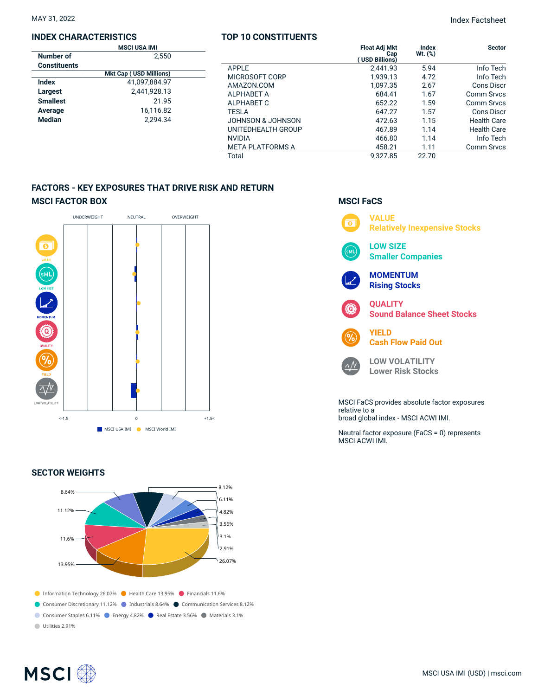#### **INDEX CHARACTERISTICS**

|                     | <b>MSCI USA IMI</b>           |  |
|---------------------|-------------------------------|--|
| Number of           | 2.550                         |  |
| <b>Constituents</b> |                               |  |
|                     | <b>Mkt Cap (USD Millions)</b> |  |
| Index               | 41.097.884.97                 |  |
| Largest             | 2,441,928.13                  |  |
| <b>Smallest</b>     | 21.95                         |  |
| Average             | 16.116.82                     |  |
| <b>Median</b>       | 2.294.34                      |  |
|                     |                               |  |

#### **TOP 10 CONSTITUENTS**

|                         | <b>Float Adj Mkt</b><br>Cap<br>(USD Billions) | <b>Index</b><br>$Wt.$ $(\%)$ | <b>Sector</b>      |
|-------------------------|-----------------------------------------------|------------------------------|--------------------|
| APPLE                   | 2,441.93                                      | 5.94                         | Info Tech          |
| MICROSOFT CORP          | 1,939.13                                      | 4.72                         | Info Tech          |
| AMAZON.COM              | 1,097.35                                      | 2.67                         | Cons Discr         |
| <b>ALPHABET A</b>       | 684.41                                        | 1.67                         | Comm Srvcs         |
| ALPHABET C              | 652.22                                        | 1.59                         | Comm Srvcs         |
| <b>TESLA</b>            | 647.27                                        | 1.57                         | Cons Discr         |
| JOHNSON & JOHNSON       | 472.63                                        | 1.15                         | <b>Health Care</b> |
| UNITEDHEALTH GROUP      | 467.89                                        | 1.14                         | <b>Health Care</b> |
| <b>NVIDIA</b>           | 466.80                                        | 1.14                         | Info Tech          |
| <b>META PLATFORMS A</b> | 458.21                                        | 1.11                         | <b>Comm Srvcs</b>  |
| Total                   | 9.327.85                                      | 22.70                        |                    |

**MSCI FaCS**

## **FACTORS - KEY EXPOSURES THAT DRIVE RISK AND RETURN MSCI FACTOR BOX**



### **SECTOR WEIGHTS**



## **VALUE**  $\overline{\bullet}$ **Relatively Inexpensive Stocks LOW SIZE Smaller Companies MOMENTUM Rising Stocks QUALITY Sound Balance Sheet Stocks YIELD Cash Flow Paid Out LOW VOLATILITY**  $\Delta N$ **Lower Risk Stocks** MSCI FaCS provides absolute factor exposures relative to a broad global index - MSCI ACWI IMI. Neutral factor exposure (FaCS = 0) represents MSCI ACWI IMI.